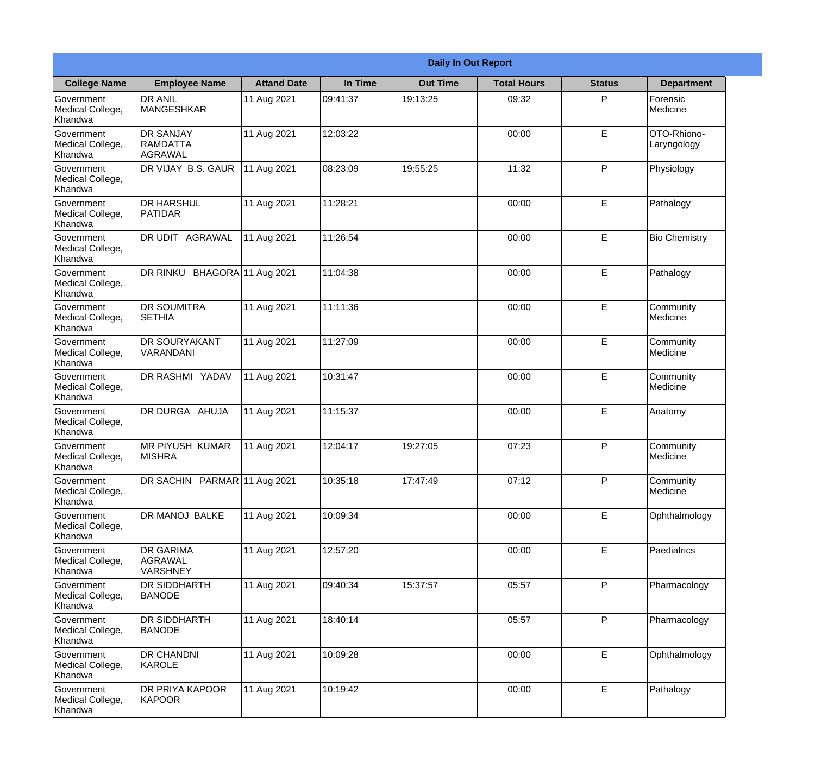|                                           |                                                       |                     | <b>Daily In Out Report</b> |                 |                    |               |                            |  |
|-------------------------------------------|-------------------------------------------------------|---------------------|----------------------------|-----------------|--------------------|---------------|----------------------------|--|
| <b>College Name</b>                       | <b>Employee Name</b>                                  | <b>Attand Date</b>  | In Time                    | <b>Out Time</b> | <b>Total Hours</b> | <b>Status</b> | <b>Department</b>          |  |
| Government<br>Medical College,<br>Khandwa | <b>DR ANIL</b><br>MANGESHKAR                          | 11 Aug 2021         | 09:41:37                   | 19:13:25        | 09:32              | P             | Forensic<br>Medicine       |  |
| Government<br>Medical College,<br>Khandwa | <b>DR SANJAY</b><br><b>RAMDATTA</b><br><b>AGRAWAL</b> | 11 Aug 2021         | 12:03:22                   |                 | 00:00              | E             | OTO-Rhiono-<br>Laryngology |  |
| Government<br>Medical College,<br>Khandwa | DR VIJAY B.S. GAUR                                    | 11 Aug 2021         | 08:23:09                   | 19:55:25        | 11:32              | P             | Physiology                 |  |
| Government<br>Medical College,<br>Khandwa | <b>DR HARSHUL</b><br>PATIDAR                          | 11 Aug 2021         | 11:28:21                   |                 | 00:00              | E             | Pathalogy                  |  |
| Government<br>Medical College,<br>Khandwa | DR UDIT AGRAWAL                                       | 11 Aug 2021         | 11:26:54                   |                 | 00:00              | E             | <b>Bio Chemistry</b>       |  |
| Government<br>Medical College,<br>Khandwa | DR RINKU                                              | BHAGORA 11 Aug 2021 | 11:04:38                   |                 | 00:00              | E             | Pathalogy                  |  |
| Government<br>Medical College,<br>Khandwa | <b>DR SOUMITRA</b><br><b>SETHIA</b>                   | 11 Aug 2021         | 11:11:36                   |                 | 00:00              | E             | Community<br>Medicine      |  |
| Government<br>Medical College,<br>Khandwa | <b>DR SOURYAKANT</b><br>VARANDANI                     | 11 Aug 2021         | 11:27:09                   |                 | 00:00              | E             | Community<br>Medicine      |  |
| Government<br>Medical College,<br>Khandwa | DR RASHMI YADAV                                       | 11 Aug 2021         | 10:31:47                   |                 | 00:00              | E             | Community<br>Medicine      |  |
| Government<br>Medical College,<br>Khandwa | DR DURGA AHUJA                                        | 11 Aug 2021         | 11:15:37                   |                 | 00:00              | E             | Anatomy                    |  |
| Government<br>Medical College,<br>Khandwa | <b>MR PIYUSH KUMAR</b><br><b>MISHRA</b>               | 11 Aug 2021         | 12:04:17                   | 19:27:05        | 07:23              | P             | Community<br>Medicine      |  |
| Government<br>Medical College,<br>Khandwa | DR SACHIN PARMAR 11 Aug 2021                          |                     | 10:35:18                   | 17:47:49        | 07:12              | P             | Community<br>Medicine      |  |
| Government<br>Medical College,<br>Khandwa | DR MANOJ BALKE                                        | 11 Aug 2021         | 10:09:34                   |                 | 00:00              | E             | Ophthalmology              |  |
| Government<br>Medical College,<br>Khandwa | <b>DR GARIMA</b><br><b>AGRAWAL</b><br><b>VARSHNEY</b> | 11 Aug 2021         | 12:57:20                   |                 | 00:00              | E             | Paediatrics                |  |
| Government<br>Medical College,<br>Khandwa | <b>DR SIDDHARTH</b><br><b>BANODE</b>                  | 11 Aug 2021         | 09:40:34                   | 15:37:57        | 05:57              | P             | Pharmacology               |  |
| Government<br>Medical College,<br>Khandwa | <b>DR SIDDHARTH</b><br><b>BANODE</b>                  | 11 Aug 2021         | 18:40:14                   |                 | 05:57              | P             | Pharmacology               |  |
| Government<br>Medical College,<br>Khandwa | <b>DR CHANDNI</b><br>KAROLE                           | 11 Aug 2021         | 10:09:28                   |                 | 00:00              | E             | Ophthalmology              |  |
| Government<br>Medical College,<br>Khandwa | DR PRIYA KAPOOR<br><b>KAPOOR</b>                      | 11 Aug 2021         | 10:19:42                   |                 | 00:00              | E             | Pathalogy                  |  |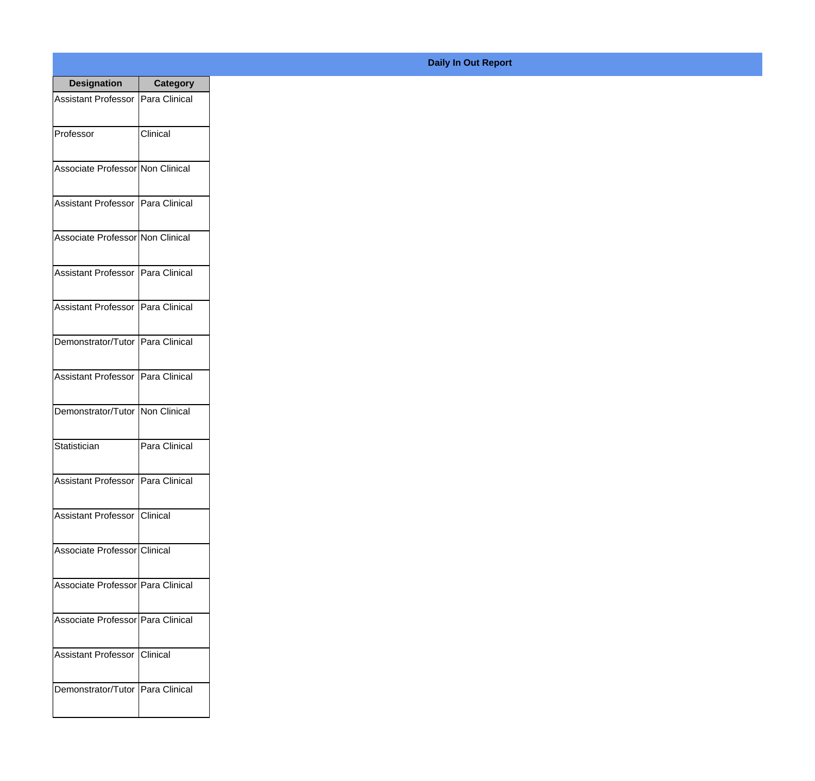| <b>Designation</b>                  | <b>Category</b> |
|-------------------------------------|-----------------|
| Assistant Professor   Para Clinical |                 |
| Professor                           | Clinical        |
| Associate Professor Non Clinical    |                 |
| Assistant Professor   Para Clinical |                 |
| Associate Professor Non Clinical    |                 |
| Assistant Professor   Para Clinical |                 |
| Assistant Professor   Para Clinical |                 |
| Demonstrator/Tutor   Para Clinical  |                 |
| Assistant Professor   Para Clinical |                 |
| Demonstrator/Tutor   Non Clinical   |                 |
| Statistician                        | Para Clinical   |
| Assistant Professor   Para Clinical |                 |
| Assistant Professor Clinical        |                 |
| Associate Professor Clinical        |                 |
| Associate Professor Para Clinical   |                 |
| Associate Professor   Para Clinical |                 |
| <b>Assistant Professor</b>          | Clinical        |
| Demonstrator/Tutor   Para Clinical  |                 |

## **Daily In Out Report**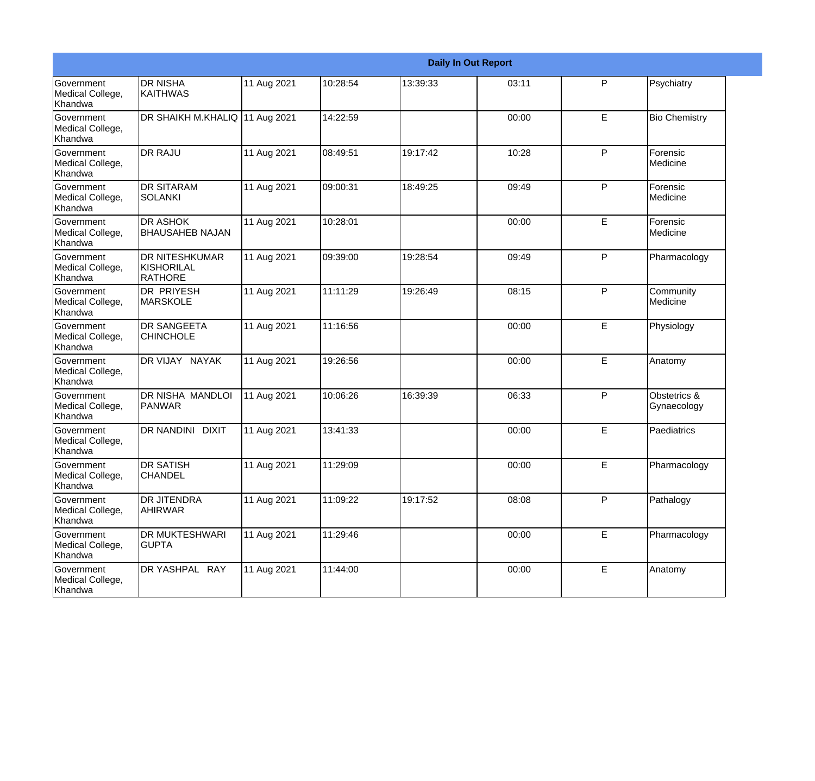|                                                  |                                                       |             |          |          | <b>Daily In Out Report</b> |   |                              |
|--------------------------------------------------|-------------------------------------------------------|-------------|----------|----------|----------------------------|---|------------------------------|
| Government<br>Medical College,<br>Khandwa        | <b>DR NISHA</b><br><b>KAITHWAS</b>                    | 11 Aug 2021 | 10:28:54 | 13:39:33 | 03:11                      | P | Psychiatry                   |
| Government<br>Medical College,<br>Khandwa        | DR SHAIKH M.KHALIQ 11 Aug 2021                        |             | 14:22:59 |          | 00:00                      | E | <b>Bio Chemistry</b>         |
| Government<br>Medical College,<br>Khandwa        | <b>DR RAJU</b>                                        | 11 Aug 2021 | 08:49:51 | 19:17:42 | 10:28                      | P | Forensic<br>Medicine         |
| Government<br>Medical College,<br>Khandwa        | <b>DR SITARAM</b><br><b>SOLANKI</b>                   | 11 Aug 2021 | 09:00:31 | 18:49:25 | 09:49                      | P | Forensic<br>Medicine         |
| <b>Government</b><br>Medical College,<br>Khandwa | <b>DR ASHOK</b><br><b>BHAUSAHEB NAJAN</b>             | 11 Aug 2021 | 10:28:01 |          | 00:00                      | E | Forensic<br>Medicine         |
| Government<br>Medical College,<br>Khandwa        | <b>DR NITESHKUMAR</b><br>KISHORILAL<br><b>RATHORE</b> | 11 Aug 2021 | 09:39:00 | 19:28:54 | 09:49                      | P | Pharmacology                 |
| Government<br>Medical College,<br>Khandwa        | <b>DR PRIYESH</b><br><b>MARSKOLE</b>                  | 11 Aug 2021 | 11:11:29 | 19:26:49 | 08:15                      | P | Community<br><b>Medicine</b> |
| Government<br>Medical College,<br>Khandwa        | <b>DR SANGEETA</b><br><b>CHINCHOLE</b>                | 11 Aug 2021 | 11:16:56 |          | 00:00                      | E | Physiology                   |
| <b>Government</b><br>Medical College,<br>Khandwa | DR VIJAY NAYAK                                        | 11 Aug 2021 | 19:26:56 |          | 00:00                      | E | Anatomy                      |
| <b>Government</b><br>Medical College,<br>Khandwa | DR NISHA MANDLOI<br>PANWAR                            | 11 Aug 2021 | 10:06:26 | 16:39:39 | 06:33                      | P | Obstetrics &<br>Gynaecology  |
| Government<br>Medical College,<br>Khandwa        | <b>DR NANDINI</b><br><b>DIXIT</b>                     | 11 Aug 2021 | 13:41:33 |          | 00:00                      | E | Paediatrics                  |
| Government<br>Medical College,<br>Khandwa        | <b>DR SATISH</b><br><b>CHANDEL</b>                    | 11 Aug 2021 | 11:29:09 |          | 00:00                      | E | Pharmacology                 |
| Government<br>Medical College,<br>Khandwa        | <b>DR JITENDRA</b><br><b>AHIRWAR</b>                  | 11 Aug 2021 | 11:09:22 | 19:17:52 | 08:08                      | P | Pathalogy                    |
| Government<br>Medical College,<br>Khandwa        | DR MUKTESHWARI<br><b>GUPTA</b>                        | 11 Aug 2021 | 11:29:46 |          | 00:00                      | E | Pharmacology                 |
| Government<br>Medical College,<br>Khandwa        | DR YASHPAL RAY                                        | 11 Aug 2021 | 11:44:00 |          | 00:00                      | E | Anatomy                      |